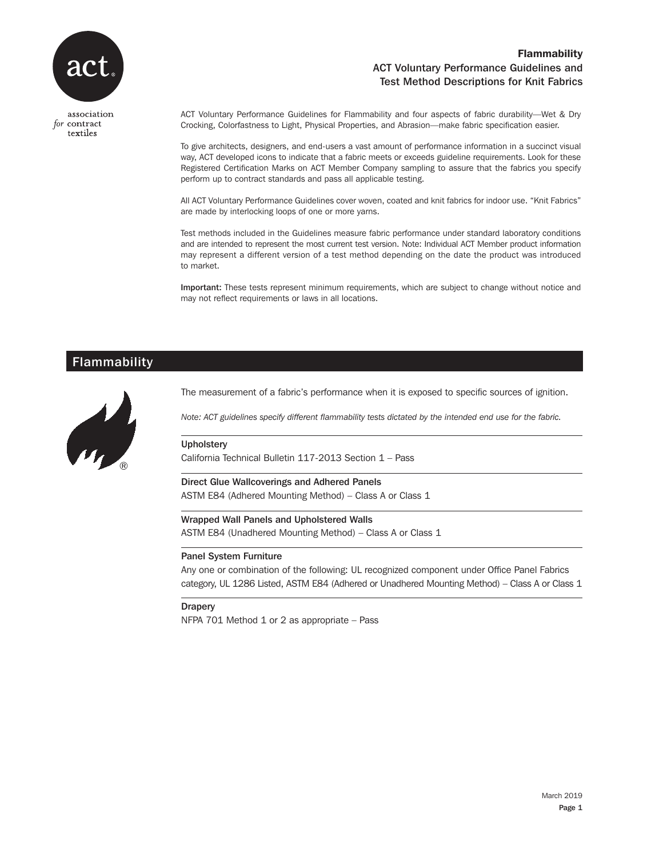

association for contract textiles

## Flammability ACT Voluntary Performance Guidelines and Test Method Descriptions for Knit Fabrics

ACT Voluntary Performance Guidelines for Flammability and four aspects of fabric durability—Wet & Dry Crocking, Colorfastness to Light, Physical Properties, and Abrasion—make fabric specification easier.

To give architects, designers, and end-users a vast amount of performance information in a succinct visual way, ACT developed icons to indicate that a fabric meets or exceeds guideline requirements. Look for these Registered Certification Marks on ACT Member Company sampling to assure that the fabrics you specify perform up to contract standards and pass all applicable testing.

All ACT Voluntary Performance Guidelines cover woven, coated and knit fabrics for indoor use. "Knit Fabrics" are made by interlocking loops of one or more yarns.

Test methods included in the Guidelines measure fabric performance under standard laboratory conditions and are intended to represent the most current test version. Note: Individual ACT Member product information may represent a different version of a test method depending on the date the product was introduced to market.

Important: These tests represent minimum requirements, which are subject to change without notice and may not reflect requirements or laws in all locations.

## Flammability



The measurement of a fabric's performance when it is exposed to specific sources of ignition.

*Note: ACT guidelines specify different flammability tests dictated by the intended end use for the fabric.*

#### **Upholstery**

California Technical Bulletin 117-2013 Section 1 – Pass

Direct Glue Wallcoverings and Adhered Panels ASTM E84 (Adhered Mounting Method) - Class A or Class 1

Wrapped Wall Panels and Upholstered Walls

ASTM E84 (Unadhered Mounting Method) – Class A or Class 1

#### Panel System Furniture

Any one or combination of the following: UL recognized component under Office Panel Fabrics category, UL 1286 Listed, ASTM E84 (Adhered or Unadhered Mounting Method) - Class A or Class 1

**Drapery** 

NFPA 701 Method 1 or 2 as appropriate – Pass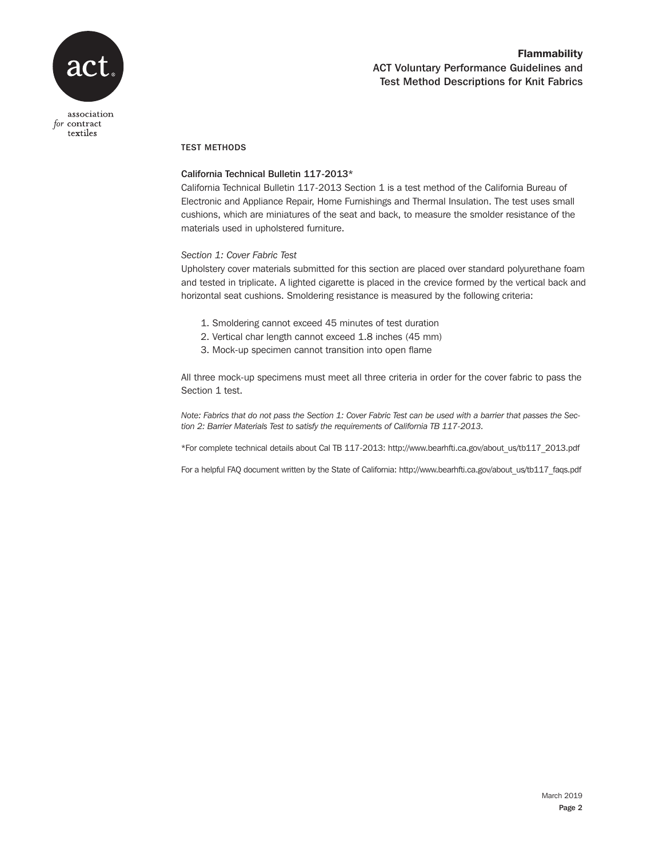

### TEST METHODS

### California Technical Bulletin 117-2013\*

California Technical Bulletin 117-2013 Section 1 is a test method of the California Bureau of Electronic and Appliance Repair, Home Furnishings and Thermal Insulation. The test uses small cushions, which are miniatures of the seat and back, to measure the smolder resistance of the materials used in upholstered furniture.

### *Section 1: Cover Fabric Test*

Upholstery cover materials submitted for this section are placed over standard polyurethane foam and tested in triplicate. A lighted cigarette is placed in the crevice formed by the vertical back and horizontal seat cushions. Smoldering resistance is measured by the following criteria:

- 1. Smoldering cannot exceed 45 minutes of test duration
- 2. Vertical char length cannot exceed 1.8 inches (45 mm)
- 3. Mock-up specimen cannot transition into open flame

All three mock-up specimens must meet all three criteria in order for the cover fabric to pass the Section 1 test.

*Note: Fabrics that do not pass the Section 1: Cover Fabric Test can be used with a barrier that passes the Section 2: Barrier Materials Test to satisfy the requirements of California TB 117-2013.*

\*For complete technical details about Cal TB 117-2013: http://www.bearhfti.ca.gov/about\_us/tb117\_2013.pdf

For a helpful FAQ document written by the State of California: http://www.bearhfti.ca.gov/about\_us/tb117\_faqs.pdf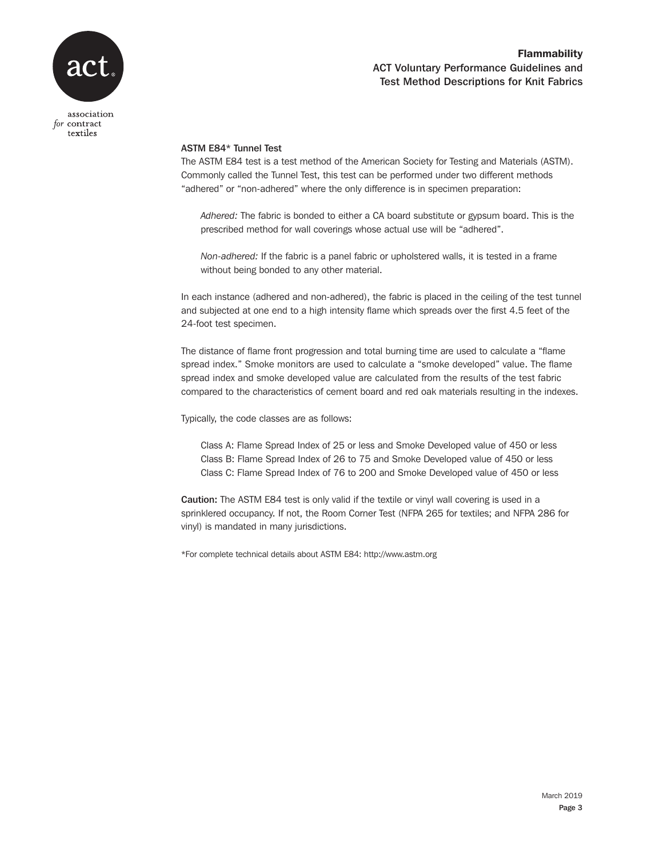

# Flammability ACT Voluntary Performance Guidelines and Test Method Descriptions for Knit Fabrics

### ASTM E84\* Tunnel Test

The ASTM E84 test is a test method of the American Society for Testing and Materials (ASTM). Commonly called the Tunnel Test, this test can be performed under two different methods "adhered" or "non-adhered" where the only difference is in specimen preparation:

*Adhered:* The fabric is bonded to either a CA board substitute or gypsum board. This is the prescribed method for wall coverings whose actual use will be "adhered".

*Non-adhered:* If the fabric is a panel fabric or upholstered walls, it is tested in a frame without being bonded to any other material.

In each instance (adhered and non-adhered), the fabric is placed in the ceiling of the test tunnel and subjected at one end to a high intensity flame which spreads over the first 4.5 feet of the 24-foot test specimen.

The distance of flame front progression and total burning time are used to calculate a "flame spread index." Smoke monitors are used to calculate a "smoke developed" value. The flame spread index and smoke developed value are calculated from the results of the test fabric compared to the characteristics of cement board and red oak materials resulting in the indexes.

Typically, the code classes are as follows:

Class A: Flame Spread Index of 25 or less and Smoke Developed value of 450 or less Class B: Flame Spread Index of 26 to 75 and Smoke Developed value of 450 or less Class C: Flame Spread Index of 76 to 200 and Smoke Developed value of 450 or less

Caution: The ASTM E84 test is only valid if the textile or vinyl wall covering is used in a sprinklered occupancy. If not, the Room Corner Test (NFPA 265 for textiles; and NFPA 286 for vinyl) is mandated in many jurisdictions.

\*For complete technical details about ASTM E84: http://www.astm.org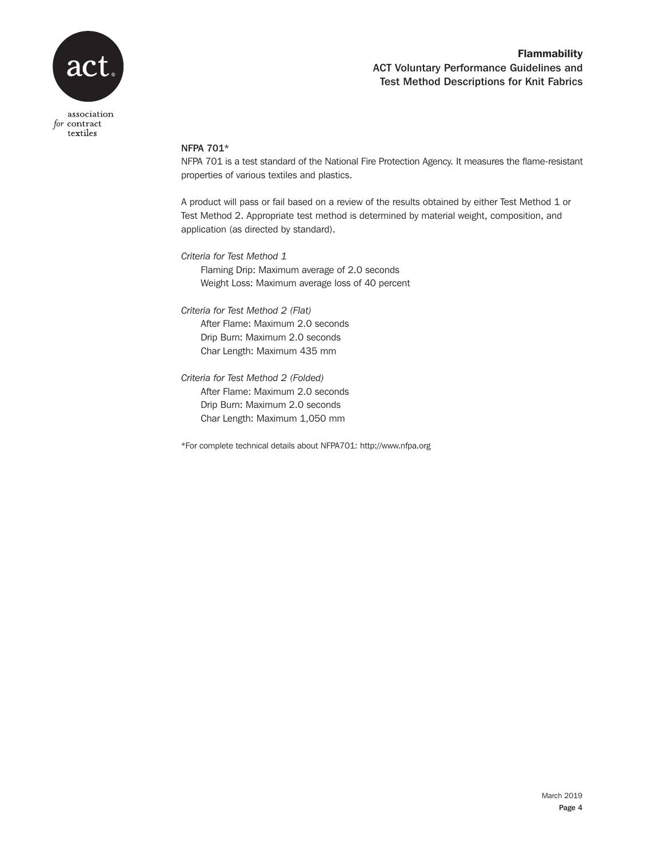

# Flammability ACT Voluntary Performance Guidelines and Test Method Descriptions for Knit Fabrics

### NFPA 701\*

NFPA 701 is a test standard of the National Fire Protection Agency. It measures the flame-resistant properties of various textiles and plastics.

A product will pass or fail based on a review of the results obtained by either Test Method 1 or Test Method 2. Appropriate test method is determined by material weight, composition, and application (as directed by standard).

*Criteria for Test Method 1* 

Flaming Drip: Maximum average of 2.0 seconds Weight Loss: Maximum average loss of 40 percent

*Criteria for Test Method 2 (Flat)*  After Flame: Maximum 2.0 seconds

> Drip Burn: Maximum 2.0 seconds Char Length: Maximum 435 mm

*Criteria for Test Method 2 (Folded)*  After Flame: Maximum 2.0 seconds Drip Burn: Maximum 2.0 seconds Char Length: Maximum 1,050 mm

\*For complete technical details about NFPA701: http://www.nfpa.org